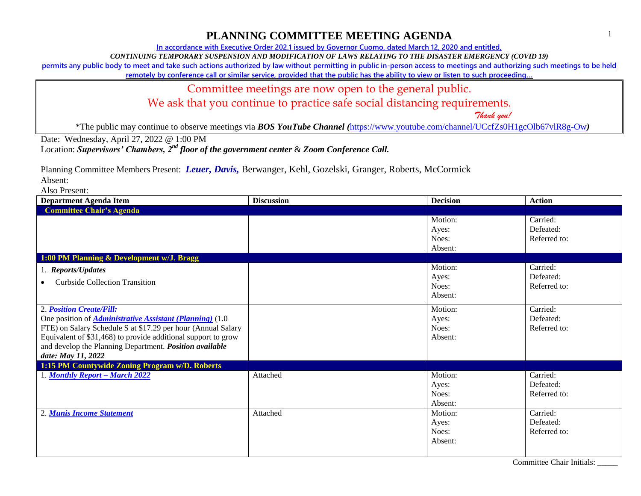# **PLANNING COMMITTEE MEETING AGENDA**

**In accordance with Executive Order 202.1 issued by Governor Cuomo, dated March 12, 2020 and entitled,**

*CONTINUING TEMPORARY SUSPENSION AND MODIFICATION OF LAWS RELATING TO THE DISASTER EMERGENCY (COVID 19)*

**permits any public body to meet and take such actions authorized by law without permitting in public in-person access to meetings and authorizing such meetings to be held** 

**remotely by conference call or similar service, provided that the public has the ability to view or listen to such proceeding…**

#### Committee meetings are now open to the general public.

We ask that you continue to practice safe social distancing requirements.

 *Thank you!*

1

\*The public may continue to observe meetings via *BOS YouTube Channel (*<https://www.youtube.com/channel/UCcfZs0H1gcOlb67vlR8g-Ow>*)*

Date: Wednesday, April 27, 2022 @ 1:00 PM

Location: *Supervisors' Chambers, 2nd floor of the government center* & *Zoom Conference Call.*

Planning Committee Members Present: *Leuer, Davis,* Berwanger, Kehl, Gozelski, Granger, Roberts, McCormick

Absent:

Also Present:

| <b>Department Agenda Item</b>                                                                                                                                                                                                                                                                                  | <b>Discussion</b> | <b>Decision</b>                      | <b>Action</b>                         |  |
|----------------------------------------------------------------------------------------------------------------------------------------------------------------------------------------------------------------------------------------------------------------------------------------------------------------|-------------------|--------------------------------------|---------------------------------------|--|
| <b>Committee Chair's Agenda</b>                                                                                                                                                                                                                                                                                |                   |                                      |                                       |  |
|                                                                                                                                                                                                                                                                                                                |                   | Motion:<br>Ayes:<br>Noes:<br>Absent: | Carried:<br>Defeated:<br>Referred to: |  |
| 1:00 PM Planning & Development w/J. Bragg                                                                                                                                                                                                                                                                      |                   |                                      |                                       |  |
| 1. Reports/Updates<br><b>Curbside Collection Transition</b>                                                                                                                                                                                                                                                    |                   | Motion:<br>Ayes:<br>Noes:<br>Absent: | Carried:<br>Defeated:<br>Referred to: |  |
| 2. Position Create/Fill:<br>One position of <i>Administrative Assistant (Planning)</i> (1.0)<br>FTE) on Salary Schedule S at \$17.29 per hour (Annual Salary<br>Equivalent of \$31,468) to provide additional support to grow<br>and develop the Planning Department. Position available<br>date: May 11, 2022 |                   | Motion:<br>Ayes:<br>Noes:<br>Absent: | Carried:<br>Defeated:<br>Referred to: |  |
| 1:15 PM Countywide Zoning Program w/D. Roberts                                                                                                                                                                                                                                                                 |                   |                                      |                                       |  |
| 1. Monthly Report - March 2022                                                                                                                                                                                                                                                                                 | Attached          | Motion:<br>Ayes:<br>Noes:<br>Absent: | Carried:<br>Defeated:<br>Referred to: |  |
| 2. Munis Income Statement                                                                                                                                                                                                                                                                                      | Attached          | Motion:<br>Ayes:<br>Noes:<br>Absent: | Carried:<br>Defeated:<br>Referred to: |  |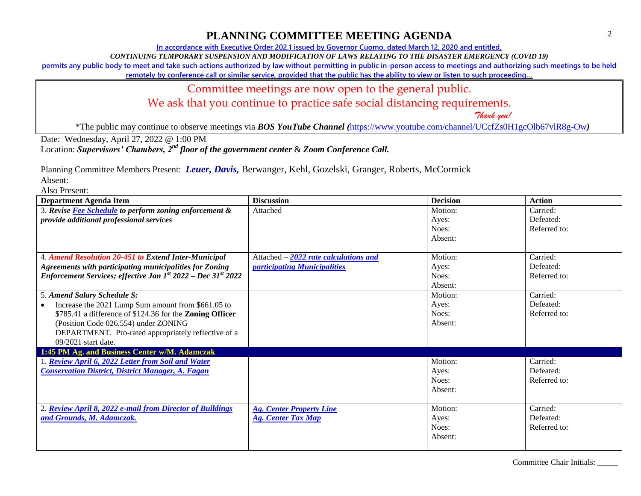### **PLANNING COMMITTEE MEETING AGENDA**

**In accordance with Executive Order 202.1 issued by Governor Cuomo, dated March 12, 2020 and entitled,**

*CONTINUING TEMPORARY SUSPENSION AND MODIFICATION OF LAWS RELATING TO THE DISASTER EMERGENCY (COVID 19)*

**permits any public body to meet and take such actions authorized by law without permitting in public in-person access to meetings and authorizing such meetings to be held** 

**remotely by conference call or similar service, provided that the public has the ability to view or listen to such proceeding…**

#### Committee meetings are now open to the general public.

We ask that you continue to practice safe social distancing requirements.

 *Thank you!*

\*The public may continue to observe meetings via *BOS YouTube Channel (*<https://www.youtube.com/channel/UCcfZs0H1gcOlb67vlR8g-Ow>*)*

Date: Wednesday, April 27, 2022 @ 1:00 PM

Location: *Supervisors' Chambers, 2nd floor of the government center* & *Zoom Conference Call.*

Planning Committee Members Present: *Leuer, Davis,* Berwanger, Kehl, Gozelski, Granger, Roberts, McCormick

Absent:

Also Present:

| <b>Department Agenda Item</b>                                     | <b>Discussion</b>                      | <b>Decision</b> | <b>Action</b> |
|-------------------------------------------------------------------|----------------------------------------|-----------------|---------------|
| 3. Revise Fee Schedule to perform zoning enforcement &            | Attached                               | Motion:         | Carried:      |
| provide additional professional services                          |                                        | Ayes:           | Defeated:     |
|                                                                   |                                        | Noes:           | Referred to:  |
|                                                                   |                                        | Absent:         |               |
|                                                                   |                                        |                 |               |
| 4. Amend Resolution 20-451 to Extend Inter-Municipal              | Attached $-2022$ rate calculations and | Motion:         | Carried:      |
| <b>Agreements with participating municipalities for Zoning</b>    | participating Municipalities           | Ayes:           | Defeated:     |
| Enforcement Services; effective Jan $I^{st}$ 2022 – Dec 31st 2022 |                                        | Noes:           | Referred to:  |
|                                                                   |                                        | Absent:         |               |
| 5. Amend Salary Schedule S:                                       |                                        | Motion:         | Carried:      |
| Increase the 2021 Lump Sum amount from \$661.05 to                |                                        | Ayes:           | Defeated:     |
| \$785.41 a difference of \$124.36 for the Zoning Officer          |                                        | Noes:           | Referred to:  |
| (Position Code 026.554) under ZONING                              |                                        | Absent:         |               |
| DEPARTMENT. Pro-rated appropriately reflective of a               |                                        |                 |               |
| $09/2021$ start date.                                             |                                        |                 |               |
| 1:45 PM Ag. and Business Center w/M. Adamczak                     |                                        |                 |               |
| 1. Review April 6, 2022 Letter from Soil and Water                |                                        | Motion:         | Carried:      |
| <b>Conservation District, District Manager, A. Fagan</b>          |                                        | Ayes:           | Defeated:     |
|                                                                   |                                        | Noes:           | Referred to:  |
|                                                                   |                                        | Absent:         |               |
|                                                                   |                                        |                 |               |
| 2. Review April 8, 2022 e-mail from Director of Buildings         | <b>Ag. Center Property Line</b>        | Motion:         | Carried:      |
| and Grounds, M. Adamczak.                                         | <b>Ag. Center Tax Map</b>              | Ayes:           | Defeated:     |
|                                                                   |                                        | Noes:           | Referred to:  |
|                                                                   |                                        | Absent:         |               |
|                                                                   |                                        |                 |               |

Committee Chair Initials: \_\_\_\_\_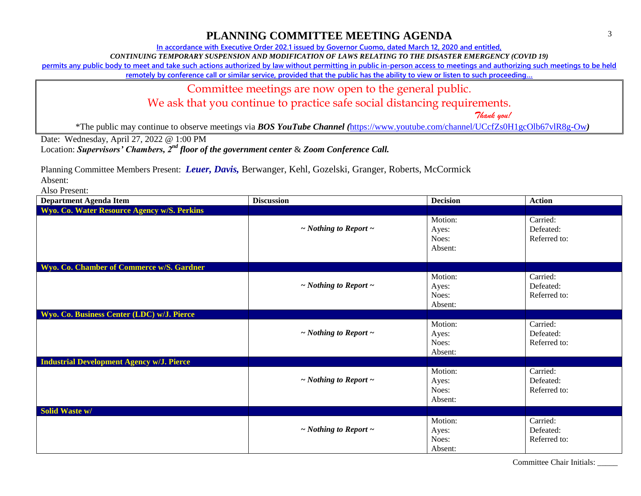# **PLANNING COMMITTEE MEETING AGENDA**

**In accordance with Executive Order 202.1 issued by Governor Cuomo, dated March 12, 2020 and entitled,**

*CONTINUING TEMPORARY SUSPENSION AND MODIFICATION OF LAWS RELATING TO THE DISASTER EMERGENCY (COVID 19)*

**permits any public body to meet and take such actions authorized by law without permitting in public in-person access to meetings and authorizing such meetings to be held** 

**remotely by conference call or similar service, provided that the public has the ability to view or listen to such proceeding…**

#### Committee meetings are now open to the general public.

We ask that you continue to practice safe social distancing requirements.

 *Thank you!*

\*The public may continue to observe meetings via *BOS YouTube Channel (*<https://www.youtube.com/channel/UCcfZs0H1gcOlb67vlR8g-Ow>*)*

Date: Wednesday, April 27, 2022 @ 1:00 PM

Location: *Supervisors' Chambers, 2nd floor of the government center* & *Zoom Conference Call.*

Planning Committee Members Present: *Leuer, Davis,* Berwanger, Kehl, Gozelski, Granger, Roberts, McCormick

Absent:

Also Present:

| <b>Department Agenda Item</b>                    | <b>Discussion</b>               | <b>Decision</b>                      | <b>Action</b>                         |
|--------------------------------------------------|---------------------------------|--------------------------------------|---------------------------------------|
| Wyo. Co. Water Resource Agency w/S. Perkins      |                                 |                                      |                                       |
|                                                  | $\sim$ Nothing to Report $\sim$ | Motion:<br>Ayes:<br>Noes:<br>Absent: | Carried:<br>Defeated:<br>Referred to: |
| Wyo. Co. Chamber of Commerce w/S. Gardner        |                                 |                                      |                                       |
|                                                  | $\sim$ Nothing to Report $\sim$ | Motion:<br>Ayes:<br>Noes:<br>Absent: | Carried:<br>Defeated:<br>Referred to: |
| Wyo. Co. Business Center (LDC) w/J. Pierce       |                                 |                                      |                                       |
|                                                  | $\sim$ Nothing to Report $\sim$ | Motion:<br>Ayes:<br>Noes:<br>Absent: | Carried:<br>Defeated:<br>Referred to: |
| <b>Industrial Development Agency w/J. Pierce</b> |                                 |                                      |                                       |
|                                                  | $\sim$ Nothing to Report $\sim$ | Motion:<br>Ayes:<br>Noes:<br>Absent: | Carried:<br>Defeated:<br>Referred to: |
| Solid Waste w/                                   |                                 |                                      |                                       |
|                                                  | $\sim$ Nothing to Report $\sim$ | Motion:<br>Ayes:<br>Noes:<br>Absent: | Carried:<br>Defeated:<br>Referred to: |

Committee Chair Initials: \_\_\_\_\_